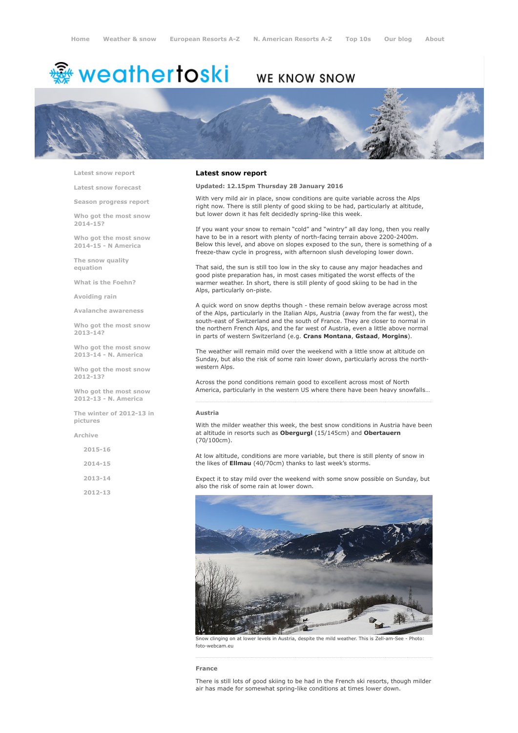# <sup>鑫</sup> weathertoski

## WE KNOW SNOW



Latest snow [report](http://www.weathertoski.co.uk/weather-snow/latest-snow-report/)

Latest snow [forecast](http://www.weathertoski.co.uk/weather-snow/latest-snow-forecast/)

Season [progress](http://www.weathertoski.co.uk/weather-snow/season-progress-report/) report

Who got the most snow 2014-15?

Who got the most snow 2014-15 - N America

The snow quality [equation](http://www.weathertoski.co.uk/weather-snow/the-snow-quality-equation/)

What is the [Foehn?](http://www.weathertoski.co.uk/weather-snow/what-is-the-foehn/)

[Avoiding](http://www.weathertoski.co.uk/weather-snow/avoiding-rain/) rain

Avalanche [awareness](http://www.weathertoski.co.uk/weather-snow/avalanche-awareness/)

Who got the most snow 2013-14?

Who got the most snow 2013-14 - N. America

Who got the most snow 2012-13?

Who got the most snow 2012-13 - N. America

The winter of 2012-13 in pictures

[Archive](http://www.weathertoski.co.uk/weather-snow/archive/)

2015-16

2014-15

2013-14

2012-13

#### Latest snow report

Updated: 12.15pm Thursday 28 January 2016

With very mild air in place, snow conditions are quite variable across the Alps right now. There is still plenty of good skiing to be had, particularly at altitude, but lower down it has felt decidedly spring-like this week.

If you want your snow to remain "cold" and "wintry" all day long, then you really have to be in a resort with plenty of north-facing terrain above 2200-2400m. Below this level, and above on slopes exposed to the sun, there is something of a freeze-thaw cycle in progress, with afternoon slush developing lower down.

That said, the sun is still too low in the sky to cause any major headaches and good piste preparation has, in most cases mitigated the worst effects of the warmer weather. In short, there is still plenty of good skiing to be had in the Alps, particularly on-piste.

A quick word on snow depths though - these remain below average across most of the Alps, particularly in the Italian Alps, Austria (away from the far west), the south-east of Switzerland and the south of France. They are closer to normal in the northern French Alps, and the far west of Austria, even a little above normal in parts of western Switzerland (e.g. Crans Montana, Gstaad, Morgins).

The weather will remain mild over the weekend with a little snow at altitude on Sunday, but also the risk of some rain lower down, particularly across the northwestern Alps.

Across the pond conditions remain good to excellent across most of North America, particularly in the western US where there have been heavy snowfalls…

#### Austria

With the milder weather this week, the best snow conditions in Austria have been at altitude in resorts such as Obergurgl (15/145cm) and Obertauern (70/100cm).

At low altitude, conditions are more variable, but there is still plenty of snow in the likes of **Ellmau** (40/70cm) thanks to last week's storms.

Expect it to stay mild over the weekend with some snow possible on Sunday, but also the risk of some rain at lower down.



Snow clinging on at lower levels in Austria, despite the mild weather. This is Zell-am-See - Photo: foto-webcam.eu

### France

There is still lots of good skiing to be had in the French ski resorts, though milder air has made for somewhat spring-like conditions at times lower down.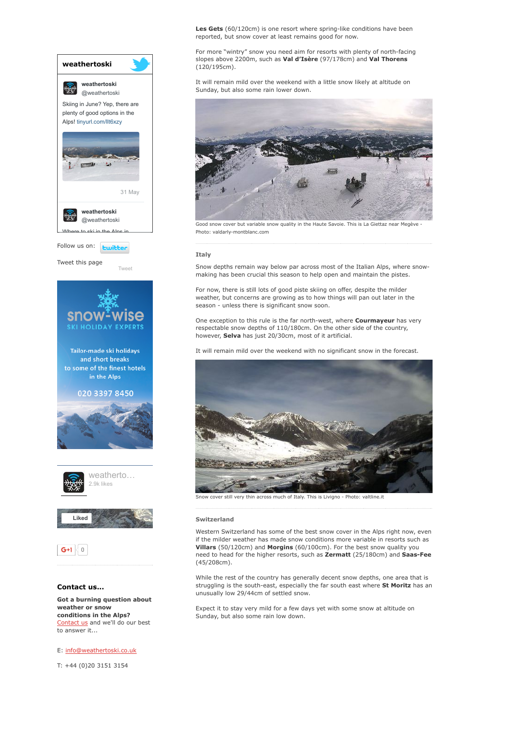

E: [info@weathertoski.co.uk](mailto:fraser@weathertoski.co.uk)

T: +44 (0)20 3151 3154

Les Gets (60/120cm) is one resort where spring-like conditions have been reported, but snow cover at least remains good for now.

For more "wintry" snow you need aim for resorts with plenty of north-facing slopes above 2200m, such as Val d'Isère (97/178cm) and Val Thorens (120/195cm).

It will remain mild over the weekend with a little snow likely at altitude on Sunday, but also some rain lower down.



Good snow cover but variable snow quality in the Haute Savoie. This is La Giettaz near Megève Photo: valdarly-montblanc.com

#### Italy

Snow depths remain way below par across most of the Italian Alps, where snowmaking has been crucial this season to help open and maintain the pistes.

For now, there is still lots of good piste skiing on offer, despite the milder weather, but concerns are growing as to how things will pan out later in the season - unless there is significant snow soon.

One exception to this rule is the far north-west, where **Courmayeur** has very respectable snow depths of 110/180cm. On the other side of the country, however, Selva has just 20/30cm, most of it artificial.

It will remain mild over the weekend with no significant snow in the forecast.



Snow cover still very thin across much of Italy. This is Livigno - Photo: valtline.it

#### Switzerland

Western Switzerland has some of the best snow cover in the Alps right now, even if the milder weather has made snow conditions more variable in resorts such as Villars (50/120cm) and Morgins (60/100cm). For the best snow quality you need to head for the higher resorts, such as Zermatt (25/180cm) and Saas-Fee (45/208cm).

While the rest of the country has generally decent snow depths, one area that is struggling is the south-east, especially the far south east where St Moritz has an unusually low 29/44cm of settled snow.

Expect it to stay very mild for a few days yet with some snow at altitude on Sunday, but also some rain low down.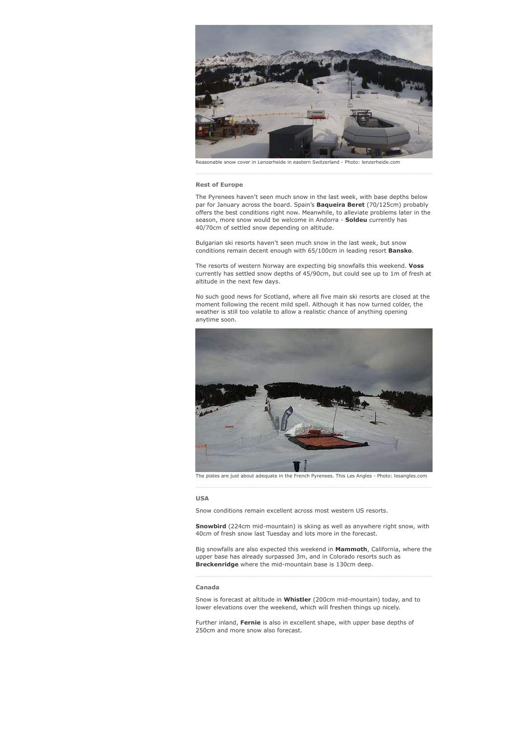

Reasonable snow cover in Lenzerheide in eastern Switzerland Photo: lenzerheide.com

#### Rest of Europe

The Pyrenees haven't seen much snow in the last week, with base depths below par for January across the board. Spain's **Baqueira Beret** (70/125cm) probably offers the best conditions right now. Meanwhile, to alleviate problems later in the season, more snow would be welcome in Andorra - Soldeu currently has 40/70cm of settled snow depending on altitude.

Bulgarian ski resorts haven't seen much snow in the last week, but snow conditions remain decent enough with 65/100cm in leading resort Bansko.

The resorts of western Norway are expecting big snowfalls this weekend. Voss currently has settled snow depths of 45/90cm, but could see up to 1m of fresh at altitude in the next few days.

No such good news for Scotland, where all five main ski resorts are closed at the moment following the recent mild spell. Although it has now turned colder, the weather is still too volatile to allow a realistic chance of anything opening anytime soon.



The pistes are just about adequate in the French Pyrenees. This Les Angles - Photo: lesangles.com

#### USA

Snow conditions remain excellent across most western US resorts.

Snowbird (224cm mid-mountain) is skiing as well as anywhere right snow, with 40cm of fresh snow last Tuesday and lots more in the forecast.

Big snowfalls are also expected this weekend in Mammoth, California, where the upper base has already surpassed 3m, and in Colorado resorts such as Breckenridge where the mid-mountain base is 130cm deep.

#### Canada

Snow is forecast at altitude in Whistler (200cm mid-mountain) today, and to lower elevations over the weekend, which will freshen things up nicely.

Further inland, Fernie is also in excellent shape, with upper base depths of 250cm and more snow also forecast.